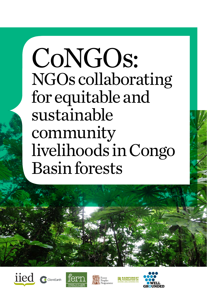CoNGOs: NGOs collaborating for equitable and sustainable community livelihoods in Congo Basin forests







Peoples



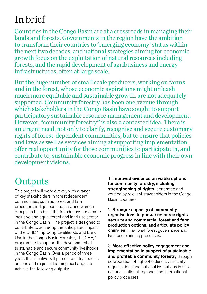# In brief

Countries in the Congo Basin are at a crossroads in managing their lands and forests. Governments in the region have the ambition to transform their countries to 'emerging economy' status within the next two decades, and national strategies aiming for economic growth focus on the exploitation of natural resources including forests, and the rapid development of agribusiness and energy infrastructures, often at large scale.

But the huge number of small scale producers, working on farms and in the forest, whose economic aspirations might unleash much more equitable and sustainable growth, are not adequately supported. Community forestry has been one avenue through which stakeholders in the Congo Basin have sought to support participatory sustainable resource management and development. However, "community forestry" is also a contested idea. There is an urgent need, not only to clarify, recognise and secure customary rights of forest-dependent communities, but to ensure that policies and laws as well as services aiming at supporting implementation offer real opportunity for those communities to participate in, and contribute to, sustainable economic progress in line with their own development visions.

# **Outputs**

This project will work directly with a range of key stakeholders in forest dependent communities, such as forest and farm producers, indigenous peoples, and women groups, to help build the foundations for a more inclusive and equal forest and land use sector in the Congo Basin. The project is designed to contribute to achieving the anticipated impact of the DFID "Improving Livelihoods and Land Use in the Congo Basin Forests (ILLUCBF)" programme to support the development of sustainable and secure community livelihoods in the Congo Basin. Over a period of three years this initiative will pursue country specific actions and regional learning exchanges to achieve the following outputs:

1. Improved evidence on viable options for community forestry, including strengthening of rights, generated and verified by relevant stakeholders in the Congo Basin countries.

2. Stronger capacity of community organisations to pursue resource rights security and commercial forest and farm production options, and articulate policy changes in national forest governance and land use planning processes.

3. More effective policy engagement and implementation in support of sustainable and profitable community forestry through collaboration of rights-holders, civil society organisations and national institutions in subnational, national, regional and international policy processes.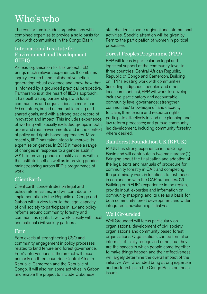# Who's who

The consortium includes organisations with combined expertise to provide a solid basis for work with communities in the Congo Basin.

#### International Institute for Environment and Development (IIED)

As lead organisation for this project IIED brings much relevant experience. It combines inquiry, research and collaborative action, generating robust evidence and know-how that is informed by a grounded practical perspective. Partnership is at the heart of IIED's approach: it has built lasting partnerships with local communities and organisations in more than 60 countries, based on mutual learning and shared goals, and with a strong track record of innovation and impact. This includes experience of working with socially excluded groups in both urban and rural environments and in the context of policy and rights based approaches. More recently, IIED has taken steps to improve its expertise on gender. In 2016 it made a range of changes in response to a gender audit in 2015, improving gender equality issues within the institute itself as well as improving gender mainstreaming across IIED's programmes of work.

### ClientEarth

ClientEarth concentrates on legal and policy reform issues, and will contribute to implementation in the Republic of Congo and Gabon with a view to build the legal capacity of civil society to participate in law and policy reforms around community forestry and communities rights. It will work closely with local and national civil society partners.

#### Fern

Fern excels at strengthening CSO and community engagement in policy processes related to land tenure and forest governance. Fern's interventions in the project will focus primarily on three countries: Central African Republic, Cameroon and the Republic of Congo. It will also run some activities in Gabon and enable the project to include Gabonese

stakeholders in some regional and international activities. Specific attention will be given by Fern to the participation of women in political processes.

#### Forest Peoples Programme (FPP)

FPP will focus in particular on legal and logistical support at the community-level, in three countries: Central African Republic, Republic of Congo and Cameroon. Building on FPP's existing work with communities (including indigenous peoples and other local communities), FPP will work to: develop inclusive, participatory and accountable community level governance; strengthen communities' knowledge of, and capacity to claim, their tenure and resource rights; participate effectively in land use planning and law reform processes; and pursue communityled development, including community forestry where desired.

### Rainforest Foundation UK (RFUK)

RFUK has strong experience in the Congo Basin and will contribute in two main areas: (1) Bringing about the finalisation and adoption of the legal texts and manuals of procedure for community forestry in CAR and completing the preliminary work in locations to test these, in conjunction with the CAR authorities. (2) Building on RFUK's experience in the region, provide input, expertise and information on community mapping, and its use as a basis for both community forest development and wider integrated land-planning initiatives.

### Well Grounded

Well Grounded will focus particularly on organisational development of civil society organisations and community based forest organisations. Organisations can be formal or informal, officially recognised or not, but they are the spaces in which people come together to make things happen and their effectiveness will largely determine the overall impact of the initiative. Well Grounded bring strong expertise and partnerships in the Congo Basin on these issues.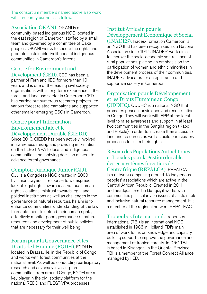The consortium members named above also work with in-country partners, as follows:

Association OKANI. OKANI is a community-based indigenous NGO located in the east region of Cameroon, staffed by a small team and governed by a committee of Baka peoples. OKANI works to secure the rights and promote sustainable livelihoods of indigenous communities in Cameroon's forests.

### Centre for Environment and

Development (CED). CED has been a partner of Fern and IIED for more than 10 years and is one of the leading civil society organisations with a long term experience in the forest and land use sector in Cameroon. CED has carried out numerous research projects, led various forest related campaigns and supported other smaller emerging CSOs in Cameroon.

#### Centre pour l'Information Environnementale et le Développement Durable (CIEDD).

Since 2010, CIEDD has been actively involved in awareness raising and providing information on the FLEGT VPA to local and indigenous communities and lobbying decision makers to advance forest governance.

### Comptoir Juridique Junior (CJJ).

CJJ is a Congolese NGO created in 2000 by junior lawyers in response to widespread lack of legal rights awareness, various human rights violations, mistrust towards legal and political institutions as well as challenges in the governance of natural resources. Its aim is to enhance communities' understanding of the law to enable them to defend their human rights, effectively monitor good governance of natural resources and development of public policies that are necessary for their well-being.

#### Forum pour la Gouvernance et les Droits de l'Homme (FGDH). FGDH is

located in Brazzaville, in the Republic of Congo and works with forest communities at the national level. As well as conducting participatory research and advocacy involving forest communities from around Congo, FGDH are a key player in the civil society platform for the national REDD and FLEGT-VPA processes.

### Institut Africain pour le Développement Economique et Social

(INADES). Inades-Formation Cameroon is an NGO that has been recognised as a National Association since 1994. INADES' work aims to improve the socio-economic self-reliance of rural populations, placing an emphasis on the participation of women and ethnic minorities in the development process of their communities. INADES advocates for an egalitarian and supportive society in Cameroon.

#### Organisation pour le Développement et les Droits Humains au Congo

(ODDHC). ODDHC is a national NGO that promotes peace, nonviolence and reconciliation in Congo. They will work with FPP at the local level to raise awareness and support in at least two communities in the Sangha region (Kabo and Pokola) in order to increase their access to land and resources as well as build participatory processes to claim their rights.

#### Réseau des Populations Autochtones et Locales pour la gestion durable des écosystèmes forestiers de Centrafrique (REPALCA). REPALCA is a network comprising around 15 indigenous peoples' associations which are active in the Central African Republic. Created in 2011

and headquartered in Bangui, it works with communities particularly on issues of sustainable and inclusive natural resource management. It is a member of the regional network REPALEAC.

Tropenbos International. Tropenbos International (TBI) is an international NGO established in 1986 in Holland. TBI's main area of work focus on knowledge and capacity building support to improve the governance and management of tropical forests. In DRC TBI is based in Kisangani in the Oriental Province. TBI is a member of the Forest Connect Alliance managed by IIED.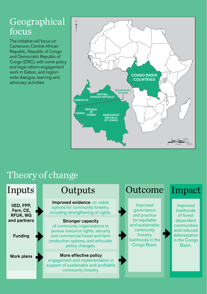## $Geographical \nvert$ focus

The initiative will focus on Cameroon, Central African Republic, Republic of Congo and Democratic Republic of Congo (DRC), with some policy and legal reform engagement work in Gabon, and regionwide dialogue, learning and advocacy activities.



## Theory of change

### Inputs

IIED, FPP, Fern, CE, RFUK, WG and partners

Funding

Work plans

Improved evidence on viable options for community forestry, including strengthening of rights.

#### Stronger capacity

of community organisations to pursue resource rights, security and commercial forest and farm production options, and articulate policy changes.

#### More effective policy engagement and implementation in support of sustainable and profitable community forestry.

### Outputs Outcome Impact

Improved governance and practice for equitable and sustainable community forestry livelihoods in the Congo Basin.

Improved livelihoods of forest dependent communities and reduced deforestation in the Congo Basin.